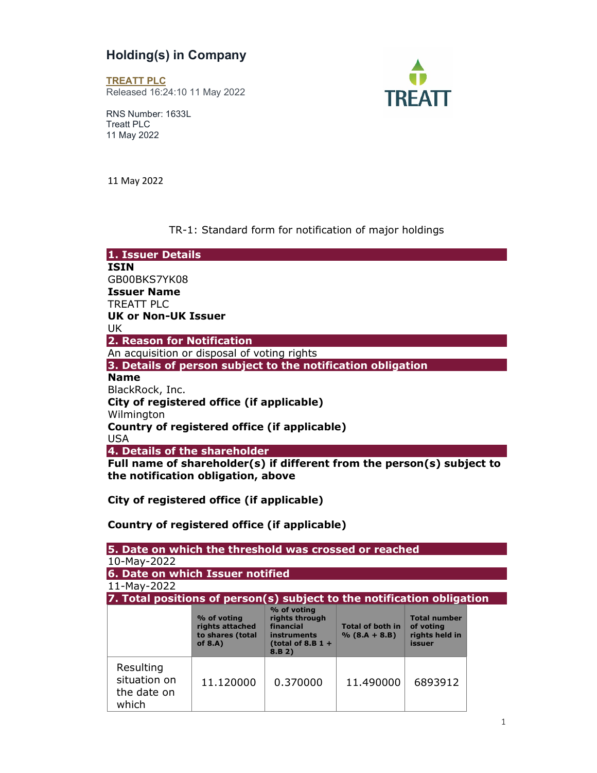## Holding(s) in Company

TREATT PLC Released 16:24:10 11 May 2022



RNS Number: 1633L Treatt PLC 11 May 2022

11 May 2022

## TR-1: Standard form for notification of major holdings

| 1. Issuer Details                                                      |
|------------------------------------------------------------------------|
| <b>ISIN</b>                                                            |
| GB00BKS7YK08                                                           |
| <b>Issuer Name</b>                                                     |
| TREATT PLC                                                             |
| UK or Non-UK Issuer                                                    |
| UK                                                                     |
| 2. Reason for Notification                                             |
| An acquisition or disposal of voting rights                            |
| 3. Details of person subject to the notification obligation            |
| <b>Name</b>                                                            |
| BlackRock, Inc.                                                        |
| City of registered office (if applicable)                              |
| Wilmington                                                             |
| Country of registered office (if applicable)                           |
| <b>USA</b>                                                             |
| 4. Details of the shareholder                                          |
| Full name of shareholder(s) if different from the person(s) subject to |
| the notification obligation, above                                     |

City of registered office (if applicable)

## Country of registered office (if applicable)

| 5. Date on which the threshold was crossed or reached                  |                                                                  |                                                                                            |                                            |                                                              |  |  |  |
|------------------------------------------------------------------------|------------------------------------------------------------------|--------------------------------------------------------------------------------------------|--------------------------------------------|--------------------------------------------------------------|--|--|--|
| 10-May-2022                                                            |                                                                  |                                                                                            |                                            |                                                              |  |  |  |
| 6. Date on which Issuer notified                                       |                                                                  |                                                                                            |                                            |                                                              |  |  |  |
| 11-May-2022                                                            |                                                                  |                                                                                            |                                            |                                                              |  |  |  |
| 7. Total positions of person(s) subject to the notification obligation |                                                                  |                                                                                            |                                            |                                                              |  |  |  |
|                                                                        | % of voting<br>rights attached<br>to shares (total<br>of $8.A$ ) | % of voting<br>rights through<br>financial<br>instruments<br>(total of 8.B $1 +$<br>8.B 2) | <b>Total of both in</b><br>$% (8.A + 8.B)$ | <b>Total number</b><br>of voting<br>rights held in<br>issuer |  |  |  |
| Resulting<br>situation on<br>the date on<br>which                      | 11.120000                                                        | 0.370000                                                                                   | 11.490000                                  | 6893912                                                      |  |  |  |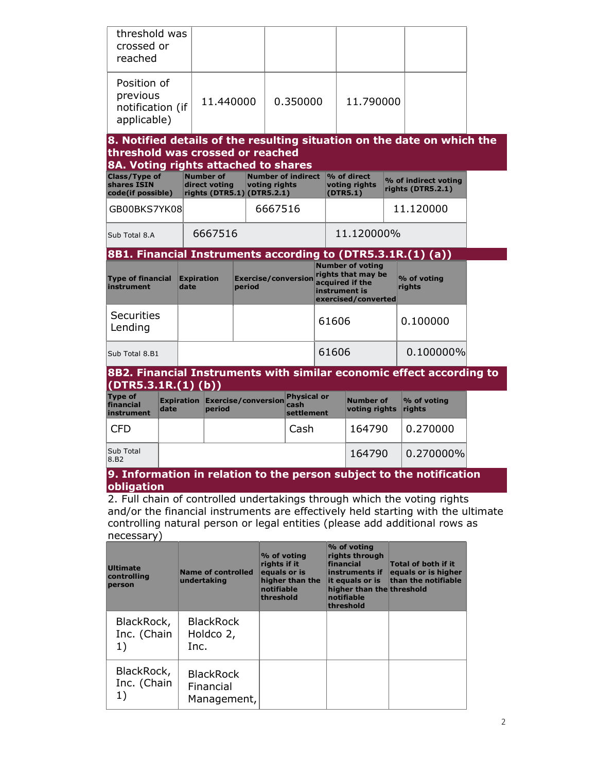| threshold was<br>crossed or<br>reached                                                                                                                                        |      |                           |                                                                 |          |                                                                        |                                          |           |  |                                                                                                                                         |           |                                                                          |  |
|-------------------------------------------------------------------------------------------------------------------------------------------------------------------------------|------|---------------------------|-----------------------------------------------------------------|----------|------------------------------------------------------------------------|------------------------------------------|-----------|--|-----------------------------------------------------------------------------------------------------------------------------------------|-----------|--------------------------------------------------------------------------|--|
| Position of<br>previous<br>notification (if<br>applicable)                                                                                                                    |      | 11.440000                 |                                                                 | 0.350000 |                                                                        |                                          | 11.790000 |  |                                                                                                                                         |           |                                                                          |  |
| 8. Notified details of the resulting situation on the date on which the<br>threshold was crossed or reached                                                                   |      |                           |                                                                 |          |                                                                        |                                          |           |  |                                                                                                                                         |           |                                                                          |  |
| 8A. Voting rights attached to shares                                                                                                                                          |      |                           |                                                                 |          |                                                                        |                                          |           |  |                                                                                                                                         |           |                                                                          |  |
| Class/Type of<br>shares ISIN<br>code(if possible)                                                                                                                             |      |                           | <b>Number of</b><br>direct voting<br>rights (DTR5.1) (DTR5.2.1) |          | voting rights                                                          | <b>Number of indirect</b>                |           |  | % of direct<br>voting rights<br>(DTR5.1)                                                                                                |           | % of indirect voting<br>rights (DTR5.2.1)                                |  |
| GB00BKS7YK08                                                                                                                                                                  |      |                           |                                                                 |          | 6667516                                                                |                                          |           |  |                                                                                                                                         |           | 11.120000                                                                |  |
| Sub Total 8.A                                                                                                                                                                 |      |                           | 6667516                                                         |          |                                                                        |                                          |           |  | 11.120000%                                                                                                                              |           |                                                                          |  |
| 8B1. Financial Instruments according to (DTR5.3.1R.(1) (a))                                                                                                                   |      |                           |                                                                 |          |                                                                        |                                          |           |  |                                                                                                                                         |           |                                                                          |  |
| <b>Type of financial</b><br>instrument                                                                                                                                        |      | <b>Expiration</b><br>date |                                                                 | period   |                                                                        | <b>Exercise/conversion</b>               |           |  | <b>Number of voting</b><br>rights that may be<br>acquired if the<br>instrument is<br>exercised/converted                                |           | % of voting<br>rights                                                    |  |
| <b>Securities</b><br>Lending                                                                                                                                                  |      |                           |                                                                 |          |                                                                        |                                          | 61606     |  |                                                                                                                                         |           | 0.100000                                                                 |  |
| Sub Total 8.B1                                                                                                                                                                |      |                           |                                                                 |          |                                                                        | 61606                                    |           |  | 0.100000%                                                                                                                               |           |                                                                          |  |
| (DTR5.3.1R.(1) (b))                                                                                                                                                           |      |                           |                                                                 |          |                                                                        |                                          |           |  |                                                                                                                                         |           | 8B2. Financial Instruments with similar economic effect according to     |  |
| <b>Type of</b><br>financial<br>instrument                                                                                                                                     | date | <b>Expiration</b>         | <b>Exercise/conversion</b><br>period                            |          |                                                                        | <b>Physical or</b><br>cash<br>settlement |           |  | <b>Number of</b><br>voting rights                                                                                                       |           | % of voting<br>rights                                                    |  |
| <b>CFD</b>                                                                                                                                                                    |      |                           |                                                                 |          |                                                                        | Cash                                     |           |  | 164790                                                                                                                                  |           | 0.270000                                                                 |  |
| Sub Total<br>8.B <sub>2</sub>                                                                                                                                                 |      |                           |                                                                 |          |                                                                        |                                          | 164790    |  |                                                                                                                                         | 0.270000% |                                                                          |  |
|                                                                                                                                                                               |      |                           |                                                                 |          |                                                                        |                                          |           |  |                                                                                                                                         |           | 9. Information in relation to the person subject to the notification     |  |
| obligation                                                                                                                                                                    |      |                           |                                                                 |          |                                                                        |                                          |           |  |                                                                                                                                         |           | 2. Full chain of controlled undertakings through which the voting rights |  |
| and/or the financial instruments are effectively held starting with the ultimate<br>controlling natural person or legal entities (please add additional rows as<br>necessary) |      |                           |                                                                 |          |                                                                        |                                          |           |  |                                                                                                                                         |           |                                                                          |  |
| <b>Ultimate</b><br>controlling<br>person                                                                                                                                      |      | undertaking               | <b>Name of controlled</b>                                       |          | % of voting<br>rights if it<br>equals or is<br>notifiable<br>threshold | higher than the                          |           |  | % of voting<br>rights through<br>financial<br>instruments if<br>it equals or is<br>higher than the threshold<br>notifiable<br>threshold |           | <b>Total of both if it</b><br>equals or is higher<br>than the notifiable |  |
| BlackRock,<br>Inc. (Chain<br>1)                                                                                                                                               |      | Inc.                      | <b>BlackRock</b><br>Holdco 2,                                   |          |                                                                        |                                          |           |  |                                                                                                                                         |           |                                                                          |  |
| BlackRock,<br>Inc. (Chain<br>1)                                                                                                                                               |      |                           | <b>BlackRock</b><br>Financial<br>Management,                    |          |                                                                        |                                          |           |  |                                                                                                                                         |           |                                                                          |  |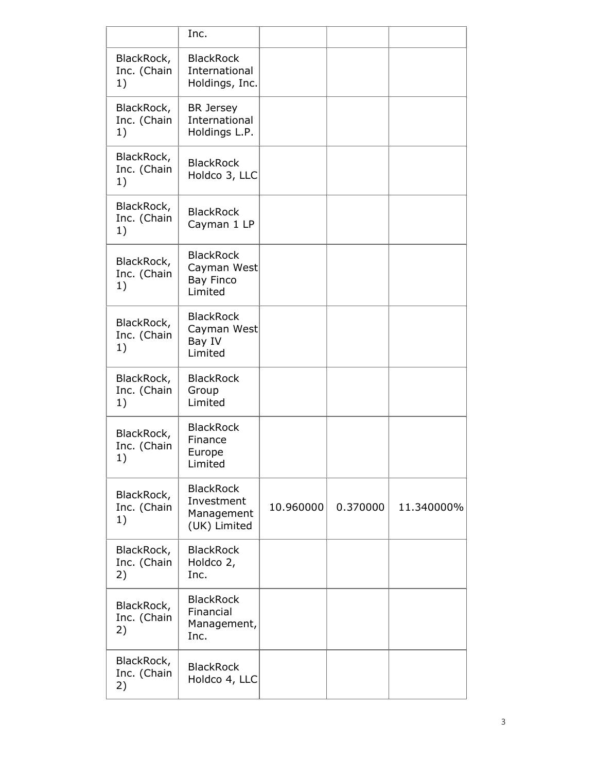|                                 | Inc.                                                           |           |          |            |
|---------------------------------|----------------------------------------------------------------|-----------|----------|------------|
| BlackRock,<br>Inc. (Chain<br>1) | <b>BlackRock</b><br>International<br>Holdings, Inc.            |           |          |            |
| BlackRock,<br>Inc. (Chain<br>1) | <b>BR</b> Jersey<br>International<br>Holdings L.P.             |           |          |            |
| BlackRock,<br>Inc. (Chain<br>1) | <b>BlackRock</b><br>Holdco 3, LLC                              |           |          |            |
| BlackRock,<br>Inc. (Chain<br>1) | <b>BlackRock</b><br>Cayman 1 LP                                |           |          |            |
| BlackRock,<br>Inc. (Chain<br>1) | <b>BlackRock</b><br>Cayman West<br><b>Bay Finco</b><br>Limited |           |          |            |
| BlackRock,<br>Inc. (Chain<br>1) | <b>BlackRock</b><br>Cayman West<br>Bay IV<br>Limited           |           |          |            |
| BlackRock,<br>Inc. (Chain<br>1) | <b>BlackRock</b><br>Group<br>Limited                           |           |          |            |
| BlackRock,<br>Inc. (Chain<br>1) | <b>BlackRock</b><br>Finance<br>Europe<br>Limited               |           |          |            |
| BlackRock,<br>Inc. (Chain<br>1) | <b>BlackRock</b><br>Investment<br>Management<br>(UK) Limited   | 10.960000 | 0.370000 | 11.340000% |
| BlackRock,<br>Inc. (Chain<br>2) | <b>BlackRock</b><br>Holdco 2,<br>Inc.                          |           |          |            |
| BlackRock,<br>Inc. (Chain<br>2) | <b>BlackRock</b><br>Financial<br>Management,<br>Inc.           |           |          |            |
| BlackRock,<br>Inc. (Chain<br>2) | <b>BlackRock</b><br>Holdco 4, LLC                              |           |          |            |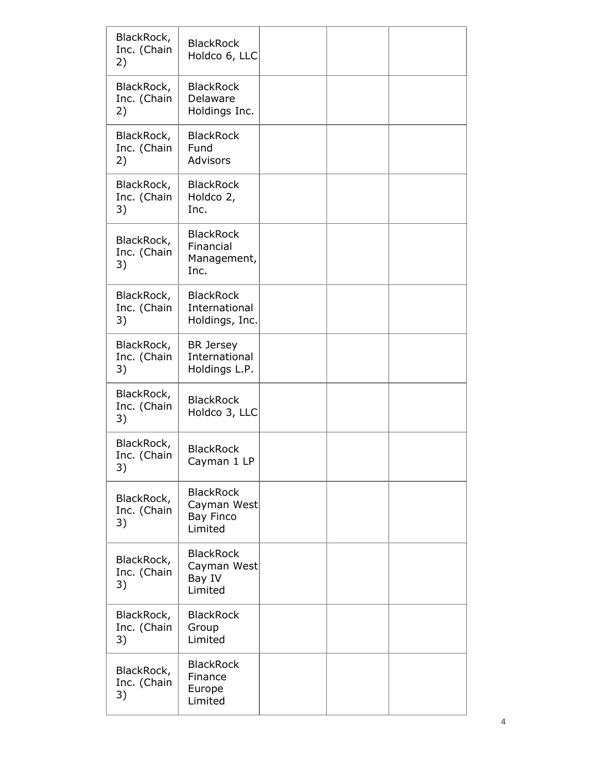| BlackRock,<br>Inc. (Chain<br>2) | <b>BlackRock</b><br>Holdco 6, LLC                              |  |  |
|---------------------------------|----------------------------------------------------------------|--|--|
| BlackRock,<br>Inc. (Chain<br>2) | <b>BlackRock</b><br>Delaware<br>Holdings Inc.                  |  |  |
| BlackRock,<br>Inc. (Chain<br>2) | <b>BlackRock</b><br>Fund<br>Advisors                           |  |  |
| BlackRock,<br>Inc. (Chain<br>3) | <b>BlackRock</b><br>Holdco 2,<br>Inc.                          |  |  |
| BlackRock,<br>Inc. (Chain<br>3) | <b>BlackRock</b><br>Financial<br>Management,<br>Inc.           |  |  |
| BlackRock,<br>Inc. (Chain<br>3) | <b>BlackRock</b><br>International<br>Holdings, Inc.            |  |  |
| BlackRock,<br>Inc. (Chain<br>3) | <b>BR</b> Jersey<br>International<br>Holdings L.P.             |  |  |
| BlackRock,<br>Inc. (Chain<br>3) | <b>BlackRock</b><br>Holdco 3, LLC                              |  |  |
| BlackRock,<br>Inc. (Chain<br>3) | <b>BlackRock</b><br>Cayman 1 LP                                |  |  |
| BlackRock,<br>Inc. (Chain<br>3) | <b>BlackRock</b><br>Cayman West<br><b>Bay Finco</b><br>Limited |  |  |
| BlackRock,<br>Inc. (Chain<br>3) | <b>BlackRock</b><br>Cayman West<br>Bay IV<br>Limited           |  |  |
| BlackRock,<br>Inc. (Chain<br>3) | <b>BlackRock</b><br>Group<br>Limited                           |  |  |
| BlackRock,<br>Inc. (Chain<br>3) | <b>BlackRock</b><br>Finance<br>Europe<br>Limited               |  |  |